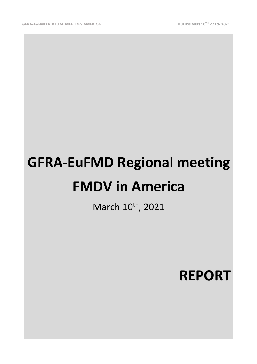# **GFRA-EuFMD Regional meeting FMDV in America**

March 10<sup>th</sup>, 2021

**REPORT**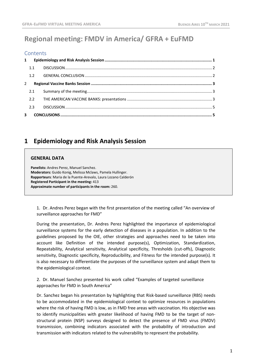# **Regional meeting: FMDV in America/ GFRA + EuFMD**

#### **Contents**

| $2^{\circ}$ |     |  |
|-------------|-----|--|
|             | 2.1 |  |
|             |     |  |
|             | 2.3 |  |
|             |     |  |
|             |     |  |

# <span id="page-1-0"></span>**1 Epidemiology and Risk Analysis Session**

#### **GENERAL DATA**

**Panelists:** Andres Perez, Manuel Sanchez. **Moderators:** Guido Konig, Melissa Mclaws, Pamela Hullinger. **Rapporteurs**: Maria de la Puente-Arevalo, Laura Lozano Calderón **Registered Participant in the meeting:** 413 **Approximate number of participants in the room:** 260.

1. Dr. Andres Perez began with the first presentation of the meeting called "An overview of surveillance approaches for FMD"

During the presentation, Dr. Andres Perez highlighted the importance of epidemiological surveillance systems for the early detection of diseases in a population. In addition to the guidelines proposed by the OIE, other strategies and approaches need to be taken into account like Definition of the intended purpose(s), Optimization, Standardization, Repeatability, Analytical sensitivity, Analytical specificity, Thresholds (cut-offs), Diagnostic sensitivity, Diagnostic specificity, Reproducibility, and Fitness for the intended purpose(s). It is also necessary to differentiate the purposes of the surveillance system and adapt them to the epidemiological context.

2. Dr. Manuel Sanchez presented his work called "Examples of targeted surveillance approaches for FMD in South America"

Dr. Sanchez began his presentation by highlighting that Risk-based surveillance (RBS) needs to be accommodated in the epidemiological context to optimize resources in populations where the risk of having FMD is low, as in FMD free areas with vaccination. His objective was to identify municipalities with greater likelihood of having FMD to be the target of nonstructural protein (NSP) surveys designed to detect the presence of FMD virus (FMDV) transmission, combining indicators associated with the probability of introduction and transmission with indicators related to the vulnerability to represent the probability.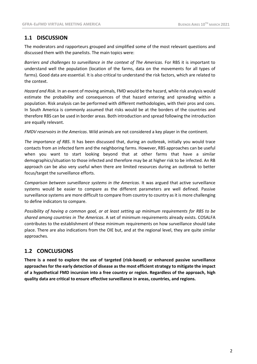## <span id="page-2-0"></span>**1.1 DISCUSSION**

The moderators and rapporteurs grouped and simplified some of the most relevant questions and discussed them with the panelists. The main topics were:

*Barriers and challenges to surveillance in the context of The Americas*. For RBS it is important to understand well the population (location of the farms, data on the movements for all types of farms). Good data are essential. It is also critical to understand the risk factors, which are related to the context.

*Hazard and Risk*. In an event of moving animals, FMD would be the hazard, while risk analysis would estimate the probability and consequences of that hazard entering and spreading within a population. Risk analysis can be performed with different methodologies, with their pros and cons. In South America is commonly assumed that risks would be at the borders of the countries and therefore RBS can be used in border areas. Both introduction and spread following the introduction are equally relevant.

*FMDV reservoirs in the Americas*. Wild animals are not considered a key player in the continent.

*The importance of RBS*. It has been discussed that, during an outbreak, initially you would trace contacts from an infected farm and the neighboring farms. However, RBS approaches can be useful when you want to start looking beyond that at other farms that have a similar demographics/situation to those infected and therefore may be at higher risk to be infected. An RB approach can be also very useful when there are limited resources during an outbreak to better focus/target the surveillance efforts.

*Comparison between surveillance systems in the Americas*. It was argued that active surveillance systems would be easier to compare as the different parameters are well defined. Passive surveillance systems are more difficult to compare from country to country as it is more challenging to define indicators to compare.

*Possibility of having a common goal, or at least setting up minimum requirements for RBS to be shared among countries in The Americas*. A set of minimum requirements already exists. COSALFA contributes to the establishment of these minimum requirements on how surveillance should take place. There are also indications from the OIE but, and at the regional level, they are quite similar approaches.

## <span id="page-2-1"></span>**1.2 CONCLUSIONS**

**There is a need to explore the use of targeted (risk-based) or enhanced passive surveillance approaches for the early detection of disease asthe most efficientstrategy to mitigate the impact of a hypothetical FMD incursion into a free country or region. Regardless of the approach, high quality data are critical to ensure effective surveillance in areas, countries, and regions.**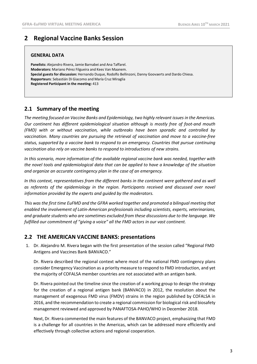# <span id="page-3-0"></span>**2 Regional Vaccine Banks Session**

#### **GENERAL DATA**

**Panelists:** Alejandro Rivera, Jamie Barnabei and Ana Taffarel. **Moderators:** Mariano Pérez Filgueira and Kees Van Maanem. **Special guests for discussion:** Hernando Duque, Rodolfo Bellinzoni, Danny Goovaerts and Dardo Chiesa. **Rapporteurs**: Sebastián Di Giacomo and María Cruz Miraglia **Registered Participant in the meeting:** 413

## <span id="page-3-1"></span>**2.1 Summary of the meeting**

*The meeting focused on Vaccine Banks and Epidemiology, two highly relevant issues in the Americas. Our continent has different epidemiological situation although is mostly free of foot-and mouth (FMD) with or without vaccination, while outbreaks have been sporadic and controlled by vaccination. Many countries are pursuing the retrieval of vaccination and move to a vaccine-free status, supported by a vaccine bank to respond to an emergency. Countries that pursue continuing vaccination also rely on vaccine banks to respond to introductions of new strains.*

*In this scenario, more information of the available regional vaccine bank was needed, together with the novel tools and epidemiological data that can be applied to have a knowledge of the situation and organize an accurate contingency plan in the case of an emergency.*

*In this context, representatives from the different banks in the continent were gathered and as well as referents of the epidemiology in the region. Participants received and discussed over novel information provided by the experts and guided by the moderators.*

*This was the first time EuFMD and the GFRA worked together and promoted a bilingual meeting that enabled the involvement of Latin-American professionals including scientists, experts, veterinarians, and graduate students who are sometimes excluded from these discussions due to the language. We fulfilled our commitment of "giving a voice" all the FMD actors in our vast continent.*

### <span id="page-3-2"></span>**2.2 THE AMERICAN VACCINE BANKS: presentations**

1. Dr. Alejandro M. Rivera began with the first presentation of the session called "Regional FMD Antigens and Vaccines Bank BANVACO."

Dr. Rivera described the regional context where most of the national FMD contingency plans consider Emergency Vaccination as a priority measure to respond to FMD introduction, and yet the majority of COFALSA member countries are not associated with an antigen bank.

Dr. Rivera pointed out the timeline since the creation of a working group to design the strategy for the creation of a regional antigen bank (BANVACO) in 2012, the resolution about the management of exogenous FMD virus (FMDV) strains in the region published by COFALSA in 2016, and the recommendation to create a regional commission for biological risk and biosafety management reviewed and approved by PANAFTOSA-PAHO/WHO in December 2018.

Next, Dr. Rivera commented the main features of the BANVACO project, emphasizing that FMD is a challenge for all countries in the Americas, which can be addressed more efficiently and effectively through collective actions and regional cooperation.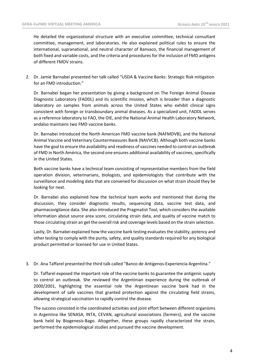He detailed the organizational structure with an executive committee, technical consultant committee, management, and laboratories. He also explained political rules to ensure the international, supranational, and neutral character of Banvaco, the financial management of both fixed and variable costs, and the criteria and procedures for the inclusion of FMD antigens of different FMDV strains.

2. Dr. Jamie Barnabei presented her talk called "USDA & Vaccine Banks: Strategic Risk mitigation for an FMD introduction."

Dr. Barnabei began her presentation by giving a background on The Foreign Animal Disease Diagnostic Laboratory (FADDL) and its scientific mission, which is broader than a diagnostic laboratory on samples from animals across the United States who exhibit clinical signs consistent with foreign or transboundary animal diseases. As a specialized unit, FADDL serves as a reference laboratory to FAO, the OIE, and the National Animal Health Laboratory Network, andalso maintains two FMD vaccine banks.

Dr. Barnabei introduced the North American FMD vaccine bank (NAFMDVB), and the National Animal Vaccine and Veterinary Countermeasures Bank (NAVVCB). Although both vaccine banks have the goal to ensure the availability and readiness of vaccines needed to control an outbreak of FMD in North América, the second one ensures additional availability of vaccines, specifically in the United States.

Both vaccine banks have a technical team consisting of representative members from the field operation division, veterinarians, biologists, and epidemiologists that contribute with the surveillance and modeling data that are convened for discussion on what strain should they be looking for next.

Dr. Barnabei also explained how the technical team works and mentioned that during the discussion, they consider diagnostic results, sequencing data, vaccine test data, and pharmacovigilance data. She also introduced the Pragmatist Tool, which considers the available information about source area score, circulating strain data, and quality of vaccine match to those circulating strain an get the overall risk and coverage levels based on the strain selection.

Lastly, Dr. Barnabei explained how the vaccine bank testing evaluates the stability, potency and other testing to comply with the purity, safety, and quality standards required for any biological product permitted or licensed for use in United States.

3. Dr. Ana Taffarel presented the third talk called "Banco de Antígenos-Experiencia Argentina."

Dr. Taffarel exposed the important role of the vaccine banks to guarantee the antigenic supply to control an outbreak. She reviewed the Argentinian experience during the outbreak of 2000/2001, highlighting the essential role the Argentinean vaccine bank had in the development of safe vaccines that granted protection against the circulating field strains, allowing strategical vaccination to rapidly control the disease.

The success consisted in the coordinated activities and joint effort between different organisms in Argentina like SENASA, INTA, CEVAN, agricultural associations (farmers), and the vaccine bank held by Biogenesis-Bago. Altogether, these groups rapidly characterized the strain, performed the epidemiological studies and pursued the vaccine development.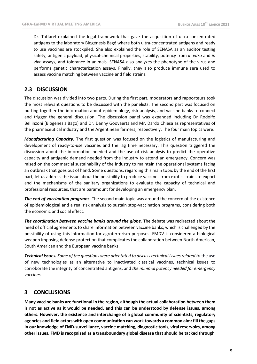Dr. Taffarel explained the legal framework that gave the acquisition of ultra-concentrated antigens to the laboratory Biogénesis Bagó where both ultra-concentrated antigens and ready to use vaccines are stockpiled. She also explained the role of SENASA as an auditor testing safety, antigenic payload, physical-chemical properties, stability, potency from *in vitro* and *in vivo* assays, and tolerance in animals. SENASA also analyzes the phenotype of the virus and performs genetic characterization assays. Finally, they also produce immune sera used to assess vaccine matching between vaccine and field strains.

## <span id="page-5-0"></span>**2.3 DISCUSSION**

The discussion was divided into two parts. During the first part, moderators and rapporteurs took the most relevant questions to be discussed with the panelists. The second part was focused on putting together the information about epidemiology, risk analysis, and vaccine banks to connect and trigger the general discussion. The discussion panel was expanded including Dr Rodolfo Bellinzoni (Biogenesis Bago) and Dr. Danny Goovaerts and Mr. Dardo Chiesa as representatives of the pharmaceutical industry and the Argentinean farmers, respectively. The four main topics were:

*Manufacturing Capacity.* The first question was focused on the logistics of manufacturing and development of ready-to-use vaccines and the lag time necessary. This question triggered the discussion about the information needed and the use of risk analysis to predict the operative capacity and antigenic demand needed from the industry to attend an emergency. Concern was raised on the commercial sustainability of the industry to maintain the operational systems facing an outbreak that goes out of hand. Some questions, regarding this main topic by the end of the first part, let us address the issue about the possibility to produce vaccines from exotic strains to export and the mechanisms of the sanitary organizations to evaluate the capacity of technical and professional resources, that are paramount for developing an emergency plan.

*The end of vaccination programs*. The second main topic was around the concern of the existence of epidemiological and a real risk analysis to sustain stop-vaccination programs, considering both the economic and social effect.

*The coordination between vaccine banks around the globe.* The debate was redirected about the need of official agreements to share information between vaccine banks, which is challenged by the possibility of using this information for agroterrorism purposes. FMDV is considered a biological weapon imposing defense protection that complicates the collaboration between North American, South American and the European vaccine banks.

*Technical issues. Some of the questions were orientated to discusstechnical issues related to* the use of new technologies as an alternative to inactivated classical vaccines, technical issues to corroborate the integrity of concentrated antigens, and *the minimal potency needed for emergency vaccines.*

## <span id="page-5-1"></span>**3 CONCLUSIONS**

**Many vaccine banks are functional in the region, although the actual collaboration between them is not as active as it would be needed, and this can be understood by defense issues, among others. However, the existence and interchange of a global community of scientists, regulatory agencies and field actors with open communication can work towards a common aim: fill the gaps in our knowledge of FMD-surveillance, vaccine matching, diagnostic tools, viral reservoirs, among other issues. FMD is recognized as a transboundary global disease that should be tacked through**